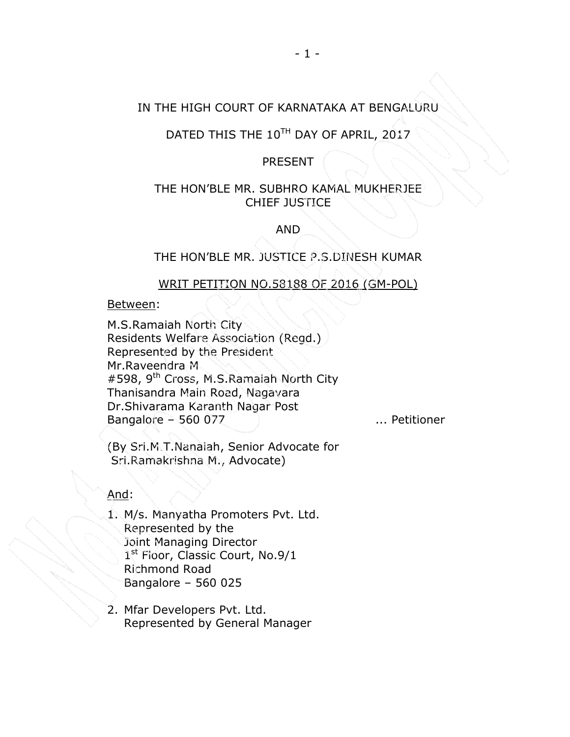## IN THE HIGH COURT OF KARNATAKA AT BENGALURU

# DATED THIS THE 10TH DAY OF APRIL, 2017

## PRESENT

## THE HON'BLE MR. SUBHRO KAMAL MUKHERJEE CHIEF JUSTICE

AND

THE HON'BLE MR. JUSTICE P.S.DINESH KUMAR

#### WRIT PETITION NO.58188 OF 2016 (GM-POL)

Between:

M.S.Ramaiah North City Residents Welfare Association (Regd.) Represented by the President Mr.Raveendra M. #598, 9<sup>th</sup> Cross, M.S.Ramaiah North City Thanisandra Main Road, Nagavara Dr.Shivarama Karanth Nagar Post Bangalore – 560 077 ... Petitioner

(By Sri.M.T.Nanaiah, Senior Advocate for Sri.Ramakrishna M., Advocate)

And:

- 1. M/s. Manyatha Promoters Pvt. Ltd. Represented by the Joint Managing Director 1st Floor, Classic Court, No.9/1 Richmond Road Bangalore – 560 025
- 2. Mfar Developers Pvt. Ltd. Represented by General Manager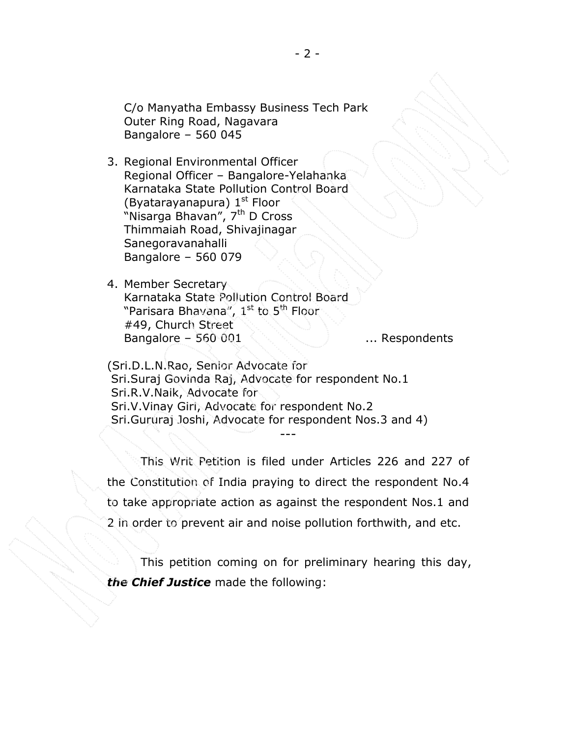C/o Manyatha Embassy Business Tech Park Outer Ring Road, Nagavara Bangalore – 560 045

3. Regional Environmental Officer Regional Officer – Bangalore-Yelahanka Karnataka State Pollution Control Board (Byatarayanapura)  $1<sup>st</sup>$  Floor "Nisarga Bhavan", 7<sup>th</sup> D Cross Thimmaiah Road, Shivajinagar Sanegoravanahalli Bangalore – 560 079

4. Member Secretary Karnataka State Pollution Control Board "Parisara Bhavana", 1<sup>st</sup> to 5<sup>th</sup> Floor #49, Church Street Bangalore – 560 001  $\sim$  ... Respondents

(Sri.D.L.N.Rao, Senior Advocate for Sri.Suraj Govinda Raj, Advocate for respondent No.1 Sri.R.V.Naik, Advocate for Sri.V.Vinay Giri, Advocate for respondent No.2 Sri.Gururaj Joshi, Advocate for respondent Nos.3 and 4)

This Writ Petition is filed under Articles 226 and 227 of the Constitution of India praying to direct the respondent No.4 to take appropriate action as against the respondent Nos.1 and 2 in order to prevent air and noise pollution forthwith, and etc.

---

This petition coming on for preliminary hearing this day, the Chief Justice made the following: